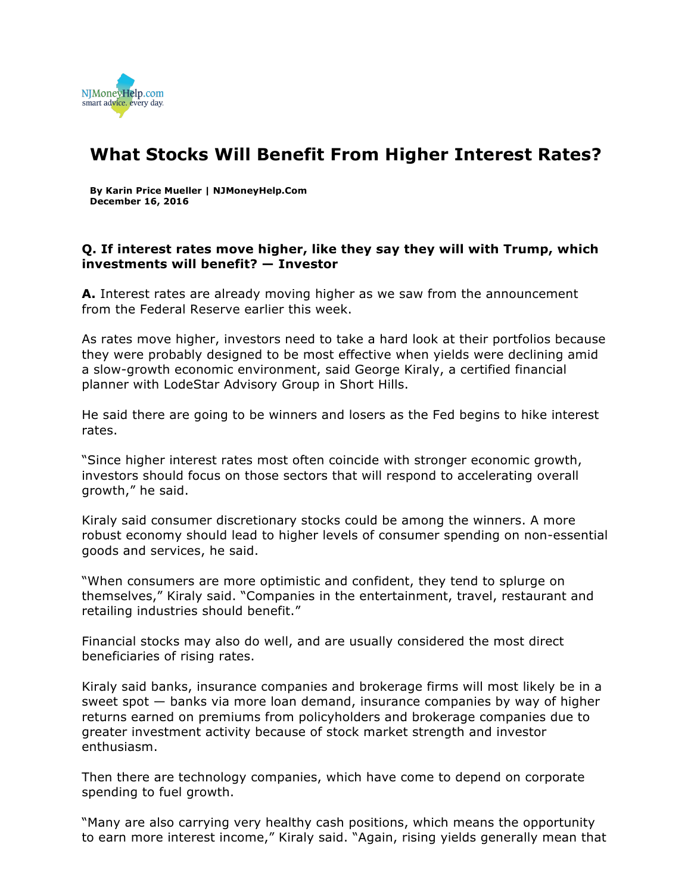

## **What Stocks Will Benefit From Higher Interest Rates?**

**By Karin Price Mueller | NJMoneyHelp.Com December 16, 2016**

## **Q. If interest rates move higher, like they say they will with Trump, which investments will benefit? — Investor**

**A.** Interest rates are already moving higher as we saw from the announcement from the Federal Reserve earlier this week.

As rates move higher, investors need to take a hard look at their portfolios because they were probably designed to be most effective when yields were declining amid a slow-growth economic environment, said George Kiraly, a certified financial planner with LodeStar Advisory Group in Short Hills.

He said there are going to be winners and losers as the Fed begins to hike interest rates.

"Since higher interest rates most often coincide with stronger economic growth, investors should focus on those sectors that will respond to accelerating overall growth," he said.

Kiraly said consumer discretionary stocks could be among the winners. A more robust economy should lead to higher levels of consumer spending on non-essential goods and services, he said.

"When consumers are more optimistic and confident, they tend to splurge on themselves," Kiraly said. "Companies in the entertainment, travel, restaurant and retailing industries should benefit."

Financial stocks may also do well, and are usually considered the most direct beneficiaries of rising rates.

Kiraly said banks, insurance companies and brokerage firms will most likely be in a sweet spot — banks via more loan demand, insurance companies by way of higher returns earned on premiums from policyholders and brokerage companies due to greater investment activity because of stock market strength and investor enthusiasm.

Then there are technology companies, which have come to depend on corporate spending to fuel growth.

"Many are also carrying very healthy cash positions, which means the opportunity to earn more interest income," Kiraly said. "Again, rising yields generally mean that